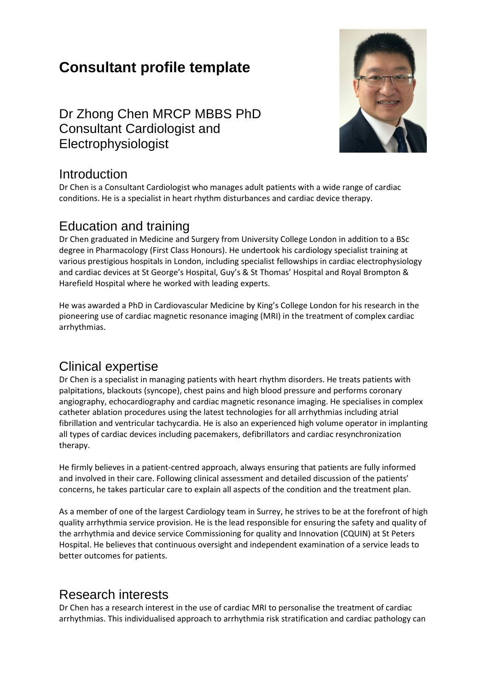# **Consultant profile template**

Dr Zhong Chen MRCP MBBS PhD Consultant Cardiologist and Electrophysiologist



#### Introduction

Dr Chen is a Consultant Cardiologist who manages adult patients with a wide range of cardiac conditions. He is a specialist in heart rhythm disturbances and cardiac device therapy.

#### Education and training

Dr Chen graduated in Medicine and Surgery from University College London in addition to a BSc degree in Pharmacology (First Class Honours). He undertook his cardiology specialist training at various prestigious hospitals in London, including specialist fellowships in cardiac electrophysiology and cardiac devices at St George's Hospital, Guy's & St Thomas' Hospital and Royal Brompton & Harefield Hospital where he worked with leading experts.

He was awarded a PhD in Cardiovascular Medicine by King's College London for his research in the pioneering use of cardiac magnetic resonance imaging (MRI) in the treatment of complex cardiac arrhythmias.

### Clinical expertise

Dr Chen is a specialist in managing patients with heart rhythm disorders. He treats patients with palpitations, blackouts (syncope), chest pains and high blood pressure and performs coronary angiography, echocardiography and cardiac magnetic resonance imaging. He specialises in complex catheter ablation procedures using the latest technologies for all arrhythmias including atrial fibrillation and ventricular tachycardia. He is also an experienced high volume operator in implanting all types of cardiac devices including pacemakers, defibrillators and cardiac resynchronization therapy.

He firmly believes in a patient-centred approach, always ensuring that patients are fully informed and involved in their care. Following clinical assessment and detailed discussion of the patients' concerns, he takes particular care to explain all aspects of the condition and the treatment plan.

As a member of one of the largest Cardiology team in Surrey, he strives to be at the forefront of high quality arrhythmia service provision. He is the lead responsible for ensuring the safety and quality of the arrhythmia and device service Commissioning for quality and Innovation (CQUIN) at St Peters Hospital. He believes that continuous oversight and independent examination of a service leads to better outcomes for patients.

### Research interests

Dr Chen has a research interest in the use of cardiac MRI to personalise the treatment of cardiac arrhythmias. This individualised approach to arrhythmia risk stratification and cardiac pathology can